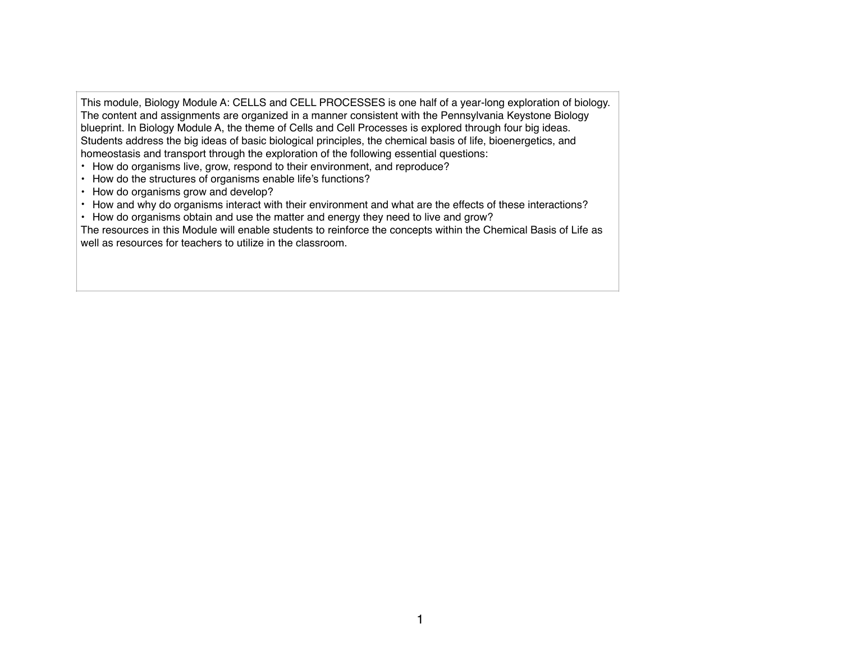This module, Biology Module A: CELLS and CELL PROCESSES is one half of a year-long exploration of biology. The content and assignments are organized in a manner consistent with the Pennsylvania Keystone Biology blueprint. In Biology Module A, the theme of Cells and Cell Processes is explored through four big ideas. Students address the big ideas of basic biological principles, the chemical basis of life, bioenergetics, and homeostasis and transport through the exploration of the following essential questions:

- How do organisms live, grow, respond to their environment, and reproduce?
- How do the structures of organisms enable life's functions?
- How do organisms grow and develop?
- How and why do organisms interact with their environment and what are the effects of these interactions?
- How do organisms obtain and use the matter and energy they need to live and grow?

The resources in this Module will enable students to reinforce the concepts within the Chemical Basis of Life as well as resources for teachers to utilize in the classroom.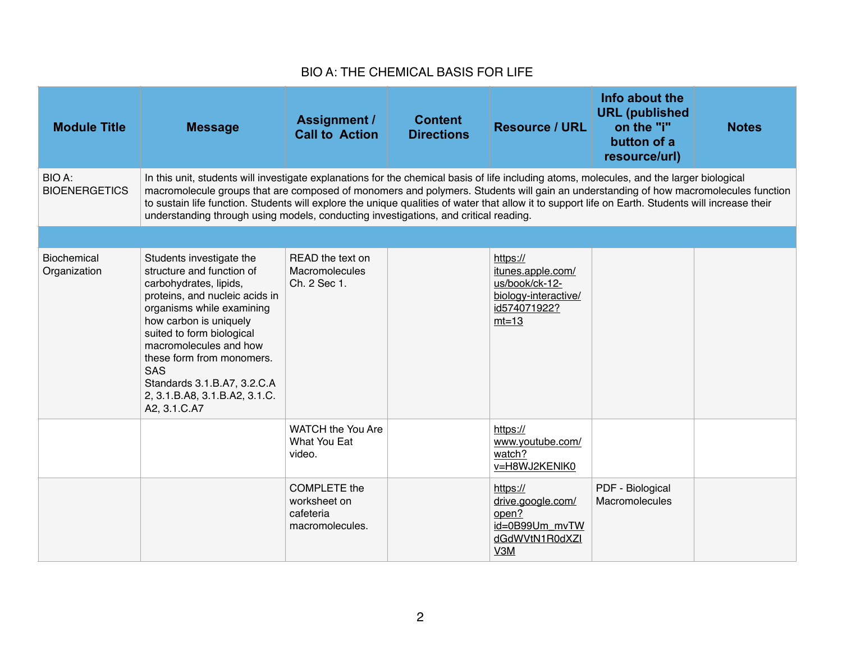## BIO A: THE CHEMICAL BASIS FOR LIFE

| <b>Module Title</b>                | <b>Message</b>                                                                                                                                                                                                                                                                                                                                                                                                                                                                                                                 | <b>Assignment /</b><br><b>Call to Action</b>                        | <b>Content</b><br><b>Directions</b> | <b>Resource / URL</b>                                                                              | Info about the<br><b>URL</b> (published<br>on the "i"<br>button of a<br>resource/url) | <b>Notes</b> |  |
|------------------------------------|--------------------------------------------------------------------------------------------------------------------------------------------------------------------------------------------------------------------------------------------------------------------------------------------------------------------------------------------------------------------------------------------------------------------------------------------------------------------------------------------------------------------------------|---------------------------------------------------------------------|-------------------------------------|----------------------------------------------------------------------------------------------------|---------------------------------------------------------------------------------------|--------------|--|
| BIO A:<br><b>BIOENERGETICS</b>     | In this unit, students will investigate explanations for the chemical basis of life including atoms, molecules, and the larger biological<br>macromolecule groups that are composed of monomers and polymers. Students will gain an understanding of how macromolecules function<br>to sustain life function. Students will explore the unique qualities of water that allow it to support life on Earth. Students will increase their<br>understanding through using models, conducting investigations, and critical reading. |                                                                     |                                     |                                                                                                    |                                                                                       |              |  |
|                                    |                                                                                                                                                                                                                                                                                                                                                                                                                                                                                                                                |                                                                     |                                     |                                                                                                    |                                                                                       |              |  |
| <b>Biochemical</b><br>Organization | Students investigate the<br>structure and function of<br>carbohydrates, lipids,<br>proteins, and nucleic acids in<br>organisms while examining<br>how carbon is uniquely<br>suited to form biological<br>macromolecules and how<br>these form from monomers.<br><b>SAS</b><br>Standards 3.1.B.A7, 3.2.C.A<br>2, 3.1.B.A8, 3.1.B.A2, 3.1.C.<br>A2, 3.1.C.A7                                                                                                                                                                     | READ the text on<br>Macromolecules<br>Ch. 2 Sec 1.                  |                                     | https://<br>itunes.apple.com/<br>us/book/ck-12-<br>biology-interactive/<br>id574071922?<br>$mt=13$ |                                                                                       |              |  |
|                                    |                                                                                                                                                                                                                                                                                                                                                                                                                                                                                                                                | WATCH the You Are<br>What You Eat<br>video.                         |                                     | https://<br>www.youtube.com/<br>watch?<br>v=H8WJ2KENIK0                                            |                                                                                       |              |  |
|                                    |                                                                                                                                                                                                                                                                                                                                                                                                                                                                                                                                | <b>COMPLETE</b> the<br>worksheet on<br>cafeteria<br>macromolecules. |                                     | https://<br>drive.google.com/<br>open?<br>id=0B99Um_mvTW<br>dGdWVtN1R0dXZI<br>V3M                  | PDF - Biological<br><b>Macromolecules</b>                                             |              |  |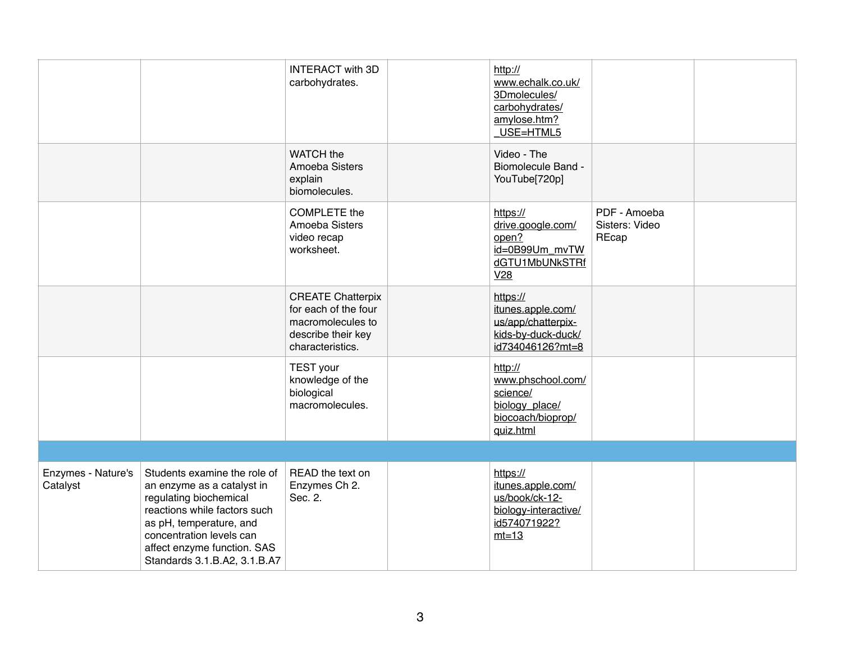|                                |                                                                                                                                                                                                                                            | <b>INTERACT with 3D</b><br>carbohydrates.                                                                       | http://<br>www.echalk.co.uk/<br>3Dmolecules/<br>carbohydrates/<br>amylose.htm?<br>_USE=HTML5         |                                         |  |
|--------------------------------|--------------------------------------------------------------------------------------------------------------------------------------------------------------------------------------------------------------------------------------------|-----------------------------------------------------------------------------------------------------------------|------------------------------------------------------------------------------------------------------|-----------------------------------------|--|
|                                |                                                                                                                                                                                                                                            | <b>WATCH</b> the<br>Amoeba Sisters<br>explain<br>biomolecules.                                                  | Video - The<br><b>Biomolecule Band -</b><br>YouTube[720p]                                            |                                         |  |
|                                |                                                                                                                                                                                                                                            | <b>COMPLETE</b> the<br>Amoeba Sisters<br>video recap<br>worksheet.                                              | https://<br>drive.google.com/<br>open?<br>id=0B99Um mvTW<br>dGTU1MbUNkSTRf<br>V28                    | PDF - Amoeba<br>Sisters: Video<br>REcap |  |
|                                |                                                                                                                                                                                                                                            | <b>CREATE Chatterpix</b><br>for each of the four<br>macromolecules to<br>describe their key<br>characteristics. | https://<br>itunes.apple.com/<br>us/app/chatterpix-<br>kids-by-duck-duck/<br>id734046126?mt=8        |                                         |  |
|                                |                                                                                                                                                                                                                                            | <b>TEST</b> your<br>knowledge of the<br>biological<br>macromolecules.                                           | http://<br>www.phschool.com/<br>science/<br>biology place/<br>biocoach/bioprop/<br>guiz.html         |                                         |  |
|                                |                                                                                                                                                                                                                                            |                                                                                                                 |                                                                                                      |                                         |  |
| Enzymes - Nature's<br>Catalyst | Students examine the role of<br>an enzyme as a catalyst in<br>regulating biochemical<br>reactions while factors such<br>as pH, temperature, and<br>concentration levels can<br>affect enzyme function. SAS<br>Standards 3.1.B.A2, 3.1.B.A7 | READ the text on<br>Enzymes Ch 2.<br>Sec. 2.                                                                    | https://<br>itunes.apple.com/<br>us/book/ck-12-<br>biology-interactive/<br>id574071922?<br>$mt = 13$ |                                         |  |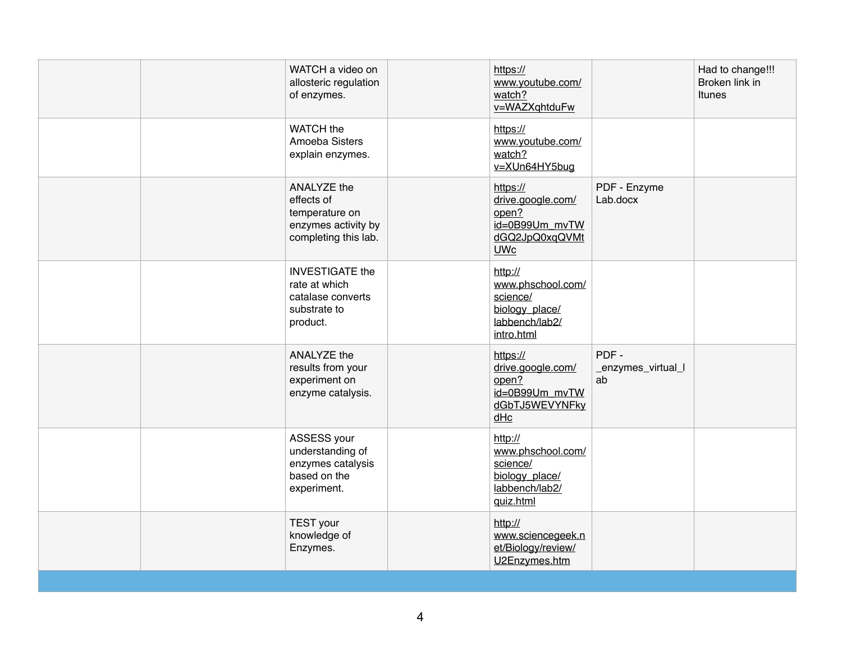| WATCH a video on<br>allosteric regulation<br>of enzymes.                                          | https://<br>www.youtube.com/<br>watch?<br>v=WAZXqhtduFw               |                                                                      | Had to change!!!<br>Broken link in<br>Itunes |
|---------------------------------------------------------------------------------------------------|-----------------------------------------------------------------------|----------------------------------------------------------------------|----------------------------------------------|
| <b>WATCH</b> the<br>Amoeba Sisters<br>explain enzymes.                                            | https://<br>www.youtube.com/<br>watch?<br>v=XUn64HY5bug               |                                                                      |                                              |
| <b>ANALYZE the</b><br>effects of<br>temperature on<br>enzymes activity by<br>completing this lab. | https://<br>drive.google.com/<br>open?<br><b>UWc</b>                  | PDF - Enzyme<br>Lab.docx<br>id=0B99Um mvTW<br>dGQ2JpQ0xqQVMt         |                                              |
| <b>INVESTIGATE the</b><br>rate at which<br>catalase converts<br>substrate to<br>product.          | http://<br>science/<br>biology_place/<br>labbench/lab2/<br>intro.html | www.phschool.com/                                                    |                                              |
| ANALYZE the<br>results from your<br>experiment on<br>enzyme catalysis.                            | https://<br>drive.google.com/<br>open?<br>dHc                         | PDF-<br>_enzymes_virtual_l<br>ab<br>id=0B99Um mvTW<br>dGbTJ5WEVYNFky |                                              |
| ASSESS your<br>understanding of<br>enzymes catalysis<br>based on the<br>experiment.               | http://<br>science/<br>biology_place/<br>labbench/lab2/<br>quiz.html  | www.phschool.com/                                                    |                                              |
| <b>TEST</b> your<br>knowledge of<br>Enzymes.                                                      | http://<br>et/Biology/review/<br>U2Enzymes.htm                        | www.sciencegeek.n                                                    |                                              |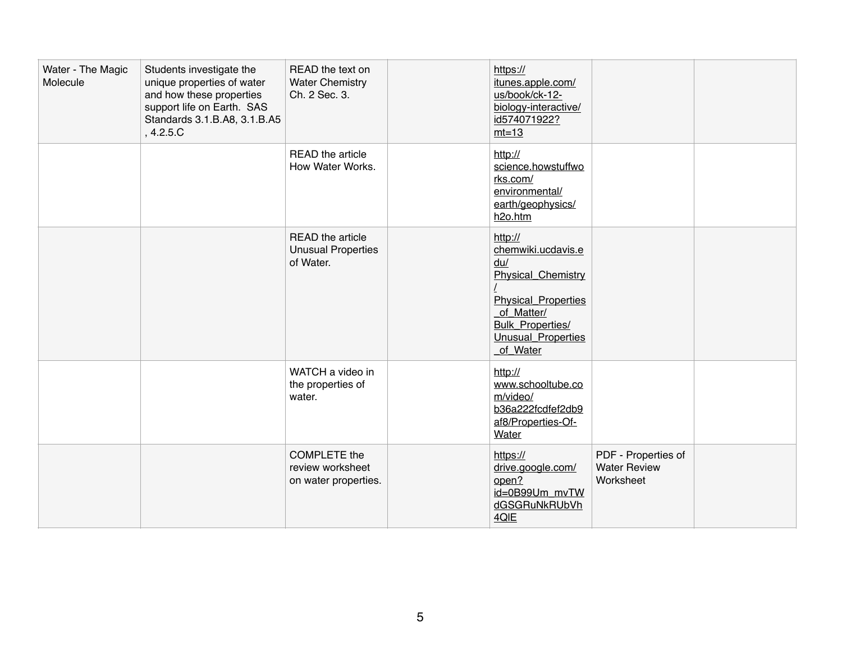| Water - The Magic<br>Molecule | Students investigate the<br>unique properties of water<br>and how these properties<br>support life on Earth. SAS<br>Standards 3.1.B.A8, 3.1.B.A5<br>, 4.2.5.C | READ the text on<br><b>Water Chemistry</b><br>Ch. 2 Sec. 3.     | https://<br>itunes.apple.com/<br>us/book/ck-12-<br>biology-interactive/<br>id574071922?<br>$mt = 13$                                                                              |                                                         |  |
|-------------------------------|---------------------------------------------------------------------------------------------------------------------------------------------------------------|-----------------------------------------------------------------|-----------------------------------------------------------------------------------------------------------------------------------------------------------------------------------|---------------------------------------------------------|--|
|                               |                                                                                                                                                               | READ the article<br>How Water Works.                            | http://<br>science.howstuffwo<br>rks.com/<br>environmental/<br>earth/geophysics/<br>h2o.htm                                                                                       |                                                         |  |
|                               |                                                                                                                                                               | READ the article<br><b>Unusual Properties</b><br>of Water.      | http://<br>chemwiki.ucdavis.e<br>du/<br><b>Physical Chemistry</b><br><b>Physical Properties</b><br>of Matter/<br><b>Bulk Properties/</b><br><b>Unusual Properties</b><br>of Water |                                                         |  |
|                               |                                                                                                                                                               | WATCH a video in<br>the properties of<br>water.                 | http://<br>www.schooltube.co<br>m/video/<br>b36a222fcdfef2db9<br>af8/Properties-Of-<br>Water                                                                                      |                                                         |  |
|                               |                                                                                                                                                               | <b>COMPLETE</b> the<br>review worksheet<br>on water properties. | https://<br>drive.google.com/<br>open?<br>id=0B99Um mvTW<br>dGSGRuNkRUbVh<br>4QIE                                                                                                 | PDF - Properties of<br><b>Water Review</b><br>Worksheet |  |